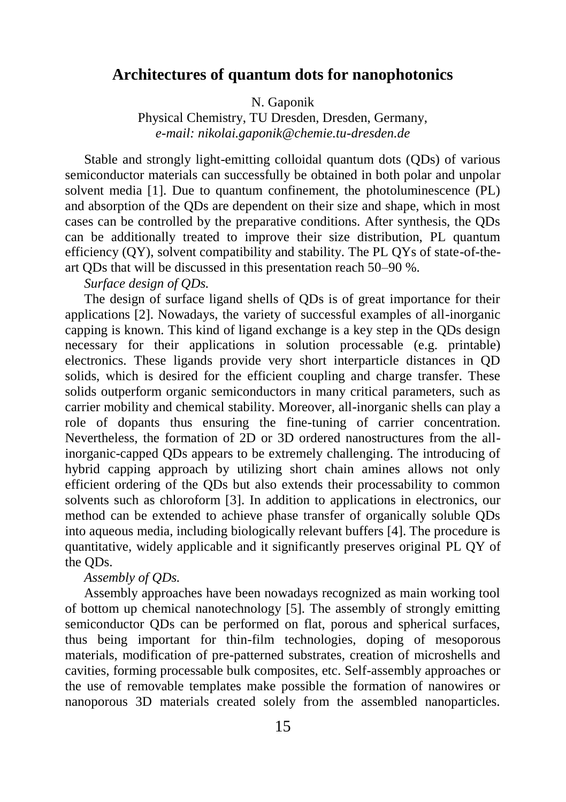## **Architectures of quantum dots for nanophotonics**

N. Gaponik

Physical Chemistry, TU Dresden, Dresden, Germany, *e-mail: nikolai.gaponik@chemie.tu-dresden.de*

Stable and strongly light-emitting colloidal quantum dots (QDs) of various semiconductor materials can successfully be obtained in both polar and unpolar solvent media [1]. Due to quantum confinement, the photoluminescence (PL) and absorption of the QDs are dependent on their size and shape, which in most cases can be controlled by the preparative conditions. After synthesis, the QDs can be additionally treated to improve their size distribution, PL quantum efficiency (QY), solvent compatibility and stability. The PL QYs of state-of-theart QDs that will be discussed in this presentation reach 50–90 %.

*Surface design of QDs.*

The design of surface ligand shells of QDs is of great importance for their applications [2]. Nowadays, the variety of successful examples of all-inorganic capping is known. This kind of ligand exchange is a key step in the QDs design necessary for their applications in solution processable (e.g. printable) electronics. These ligands provide very short interparticle distances in QD solids, which is desired for the efficient coupling and charge transfer. These solids outperform organic semiconductors in many critical parameters, such as carrier mobility and chemical stability. Moreover, all-inorganic shells can play a role of dopants thus ensuring the fine-tuning of carrier concentration. Nevertheless, the formation of 2D or 3D ordered nanostructures from the allinorganic-capped QDs appears to be extremely challenging. The introducing of hybrid capping approach by utilizing short chain amines allows not only efficient ordering of the QDs but also extends their processability to common solvents such as chloroform [3]. In addition to applications in electronics, our method can be extended to achieve phase transfer of organically soluble QDs into aqueous media, including biologically relevant buffers [4]. The procedure is quantitative, widely applicable and it significantly preserves original PL QY of the QDs.

#### *Assembly of QDs.*

Assembly approaches have been nowadays recognized as main working tool of bottom up chemical nanotechnology [5]. The assembly of strongly emitting semiconductor QDs can be performed on flat, porous and spherical surfaces, thus being important for thin-film technologies, doping of mesoporous materials, modification of pre-patterned substrates, creation of microshells and cavities, forming processable bulk composites, etc. Self-assembly approaches or the use of removable templates make possible the formation of nanowires or nanoporous 3D materials created solely from the assembled nanoparticles.